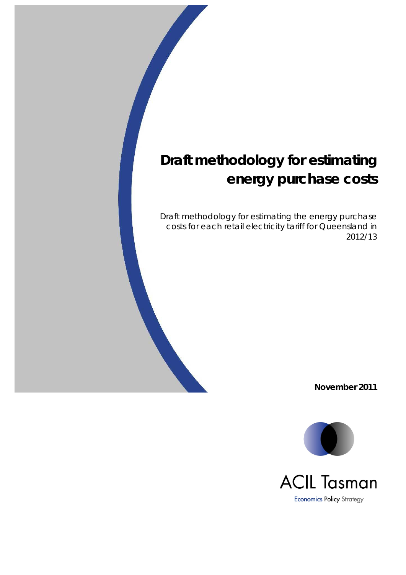Draft methodology for estimating the energy purchase costs for each retail electricity tariff for Queensland in 2012/13

**November 2011**

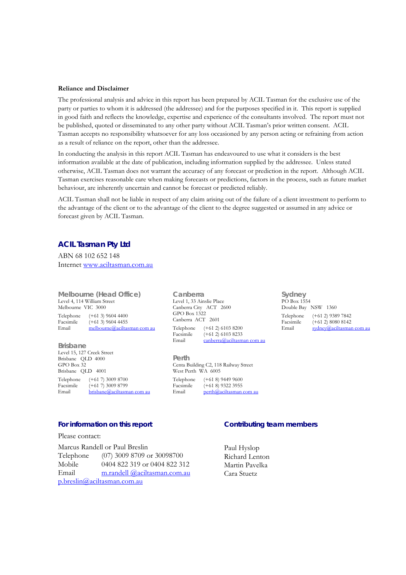#### **Reliance and Disclaimer**

The professional analysis and advice in this report has been prepared by ACIL Tasman for the exclusive use of the party or parties to whom it is addressed (the addressee) and for the purposes specified in it. This report is supplied in good faith and reflects the knowledge, expertise and experience of the consultants involved. The report must not be published, quoted or disseminated to any other party without ACIL Tasman's prior written consent. ACIL Tasman accepts no responsibility whatsoever for any loss occasioned by any person acting or refraining from action as a result of reliance on the report, other than the addressee.

In conducting the analysis in this report ACIL Tasman has endeavoured to use what it considers is the best information available at the date of publication, including information supplied by the addressee. Unless stated otherwise, ACIL Tasman does not warrant the accuracy of any forecast or prediction in the report. Although ACIL Tasman exercises reasonable care when making forecasts or predictions, factors in the process, such as future market behaviour, are inherently uncertain and cannot be forecast or predicted reliably.

ACIL Tasman shall not be liable in respect of any claim arising out of the failure of a client investment to perform to the advantage of the client or to the advantage of the client to the degree suggested or assumed in any advice or forecast given by ACIL Tasman.

#### **ACIL Tasman Pty Ltd**

ABN 68 102 652 148 Internet www.aciltasman.com.au

**Melbourne (Head Office)**  Level 4, 114 William Street Melbourne VIC 3000 Telephone (+61 3) 9604 4400

Facsimile  $(+61\ 3)$  9604 4455<br>Email melbourne@aciltas melbourne@aciltasman com au

**Brisbane**  Level 15, 127 Creek Street Brisbane QLD 4000  $GPO B<sub>ox</sub> 32$ Brisbane QLD 4001 Telephone (+61 7) 3009 8700<br>Facsimile (+61 7) 3009 8799 Facsimile  $(+61 7) 3009 8799$ <br>Email brisbane@aciltasm Email brisbane@aciltasman com au

#### **For information on this report**

Please contact:

Marcus Randell or Paul Breslin Telephone (07) 3009 8709 or 30098700 Mobile 0404 822 319 or 0404 822 312 Email m.randell @aciltasman.com.au p.breslin@aciltasman.com.au

**Canberra**  Level 1, 33 Ainslie Place Canberra City ACT 2600 GPO Box 1322 Canberra ACT 2601 Telephone (+61 2) 6103 8200<br>Facsimile (+61 2) 6103 8233  $(+61\ 2)\ 6103\ 8233$ Email canberra@aciltasman com au

**Perth**  Centa Building C2, 118 Railway Street West Perth WA 6005 Telephone (+61 8) 9449 9600<br>Facsimile (+61 8) 9322 3955 Facsimile  $(+618)$  9322 3955<br>Email perth@aciltasman  $perta\hat{a}$  aciltasman com au **Sydney**  PO Box 1554 Double Bay NSW 1360 Telephone (+61 2) 9389 7842 Facsimile  $(+61\ 2) 8080 8142$ <br>Email sydney@aciltasma  $\frac{1}{2}$ sydney@aciltasman com au

**Contributing team members** 

Paul Hyslop Richard Lenton Martin Pavelka Cara Stuetz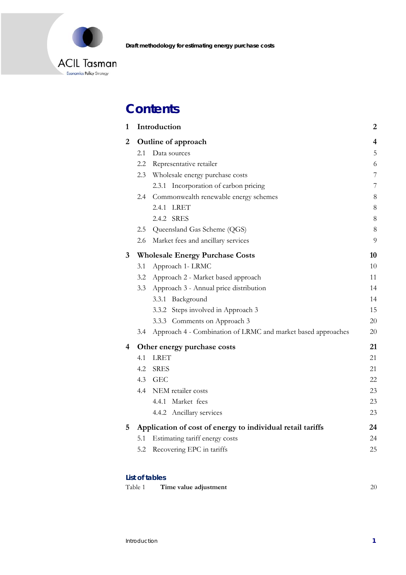

# **Contents**

| $\mathbf{1}$ |                                                            | Introduction                                                 | 2              |
|--------------|------------------------------------------------------------|--------------------------------------------------------------|----------------|
| 2            | Outline of approach                                        |                                                              |                |
|              | 2.1                                                        | Data sources                                                 | 5              |
|              | 2.2                                                        | Representative retailer                                      | 6              |
|              | 2.3                                                        | Wholesale energy purchase costs                              | $\overline{7}$ |
|              |                                                            | 2.3.1 Incorporation of carbon pricing                        | 7              |
|              |                                                            | 2.4 Commonwealth renewable energy schemes                    | 8              |
|              |                                                            | 2.4.1<br><b>LRET</b>                                         | 8              |
|              |                                                            | 2.4.2 SRES                                                   | $\,8\,$        |
|              | 2.5                                                        | Queensland Gas Scheme (QGS)                                  | $8\,$          |
|              | 2.6                                                        | Market fees and ancillary services                           | 9              |
| $\mathbf{3}$ |                                                            | <b>Wholesale Energy Purchase Costs</b>                       | 10             |
|              | 3.1                                                        | Approach 1- LRMC                                             | 10             |
|              | 3.2                                                        | Approach 2 - Market based approach                           | 11             |
|              | 3.3                                                        | Approach 3 - Annual price distribution                       | 14             |
|              |                                                            | Background<br>3.3.1                                          | 14             |
|              |                                                            | 3.3.2 Steps involved in Approach 3                           | 15             |
|              |                                                            | 3.3.3 Comments on Approach 3                                 | 20             |
|              | 3.4                                                        | Approach 4 - Combination of LRMC and market based approaches | 20             |
| 4            |                                                            | Other energy purchase costs                                  | 21             |
|              | 4.1                                                        | <b>LRET</b>                                                  | 21             |
|              | 4.2                                                        | <b>SRES</b>                                                  | 21             |
|              | 4.3                                                        | <b>GEC</b>                                                   | 22             |
|              | 4.4                                                        | NEM retailer costs                                           | 23             |
|              |                                                            | 4.4.1 Market fees                                            | 23             |
|              |                                                            | 4.4.2 Ancillary services                                     | 23             |
| 5            | Application of cost of energy to individual retail tariffs |                                                              |                |
|              | 5.1                                                        | Estimating tariff energy costs                               | 24             |
|              | 5.2                                                        | Recovering EPC in tariffs                                    | 25             |
|              |                                                            |                                                              |                |

#### **List of tables**

| Table 1 | Time value adjustment |  |  |
|---------|-----------------------|--|--|
|---------|-----------------------|--|--|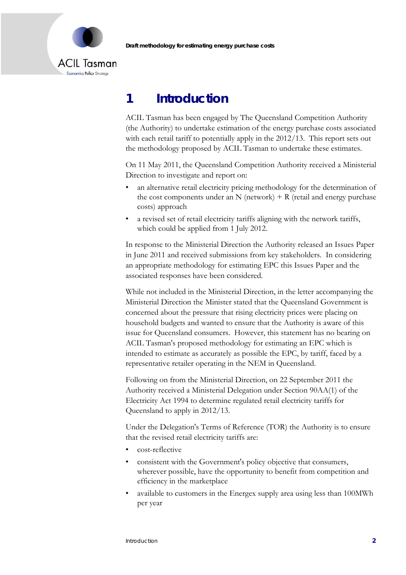

# **1 Introduction**

ACIL Tasman has been engaged by The Queensland Competition Authority (the Authority) to undertake estimation of the energy purchase costs associated with each retail tariff to potentially apply in the 2012/13. This report sets out the methodology proposed by ACIL Tasman to undertake these estimates.

On 11 May 2011, the Queensland Competition Authority received a Ministerial Direction to investigate and report on:

- an alternative retail electricity pricing methodology for the determination of the cost components under an N (network)  $+ R$  (retail and energy purchase costs) approach
- a revised set of retail electricity tariffs aligning with the network tariffs, which could be applied from 1 July 2012.

In response to the Ministerial Direction the Authority released an Issues Paper in June 2011 and received submissions from key stakeholders. In considering an appropriate methodology for estimating EPC this Issues Paper and the associated responses have been considered.

While not included in the Ministerial Direction, in the letter accompanying the Ministerial Direction the Minister stated that the Queensland Government is concerned about the pressure that rising electricity prices were placing on household budgets and wanted to ensure that the Authority is aware of this issue for Queensland consumers. However, this statement has no bearing on ACIL Tasman's proposed methodology for estimating an EPC which is intended to estimate as accurately as possible the EPC, by tariff, faced by a representative retailer operating in the NEM in Queensland.

Following on from the Ministerial Direction, on 22 September 2011 the Authority received a Ministerial Delegation under Section 90AA(1) of the Electricity Act 1994 to determine regulated retail electricity tariffs for Queensland to apply in 2012/13.

Under the Delegation's Terms of Reference (TOR) the Authority is to ensure that the revised retail electricity tariffs are:

- cost-reflective
- consistent with the Government's policy objective that consumers, wherever possible, have the opportunity to benefit from competition and efficiency in the marketplace
- available to customers in the Energex supply area using less than 100MWh per year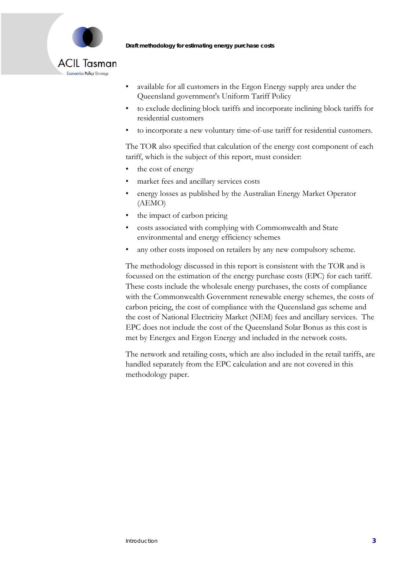

### **ACIL Tasman** Economics Policy Strategy

- available for all customers in the Ergon Energy supply area under the Queensland government's Uniform Tariff Policy
- to exclude declining block tariffs and incorporate inclining block tariffs for residential customers
- to incorporate a new voluntary time-of-use tariff for residential customers.

The TOR also specified that calculation of the energy cost component of each tariff, which is the subject of this report, must consider:

- the cost of energy
- market fees and ancillary services costs
- energy losses as published by the Australian Energy Market Operator (AEMO)
- the impact of carbon pricing
- costs associated with complying with Commonwealth and State environmental and energy efficiency schemes
- any other costs imposed on retailers by any new compulsory scheme.

The methodology discussed in this report is consistent with the TOR and is focussed on the estimation of the energy purchase costs (EPC) for each tariff. These costs include the wholesale energy purchases, the costs of compliance with the Commonwealth Government renewable energy schemes, the costs of carbon pricing, the cost of compliance with the Queensland gas scheme and the cost of National Electricity Market (NEM) fees and ancillary services. The EPC does not include the cost of the Queensland Solar Bonus as this cost is met by Energex and Ergon Energy and included in the network costs.

The network and retailing costs, which are also included in the retail tariffs, are handled separately from the EPC calculation and are not covered in this methodology paper.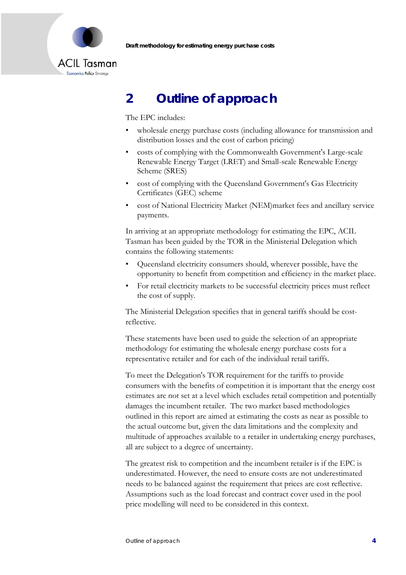



# **2 Outline of approach**

The EPC includes:

- wholesale energy purchase costs (including allowance for transmission and distribution losses and the cost of carbon pricing)
- costs of complying with the Commonwealth Government's Large-scale Renewable Energy Target (LRET) and Small-scale Renewable Energy Scheme (SRES)
- cost of complying with the Queensland Government's Gas Electricity Certificates (GEC) scheme
- cost of National Electricity Market (NEM)market fees and ancillary service payments.

In arriving at an appropriate methodology for estimating the EPC, ACIL Tasman has been guided by the TOR in the Ministerial Delegation which contains the following statements:

- Queensland electricity consumers should, wherever possible, have the opportunity to benefit from competition and efficiency in the market place.
- For retail electricity markets to be successful electricity prices must reflect the cost of supply.

The Ministerial Delegation specifies that in general tariffs should be costreflective.

These statements have been used to guide the selection of an appropriate methodology for estimating the wholesale energy purchase costs for a representative retailer and for each of the individual retail tariffs.

To meet the Delegation's TOR requirement for the tariffs to provide consumers with the benefits of competition it is important that the energy cost estimates are not set at a level which excludes retail competition and potentially damages the incumbent retailer. The two market based methodologies outlined in this report are aimed at estimating the costs as near as possible to the actual outcome but, given the data limitations and the complexity and multitude of approaches available to a retailer in undertaking energy purchases, all are subject to a degree of uncertainty.

The greatest risk to competition and the incumbent retailer is if the EPC is underestimated. However, the need to ensure costs are not underestimated needs to be balanced against the requirement that prices are cost reflective. Assumptions such as the load forecast and contract cover used in the pool price modelling will need to be considered in this context.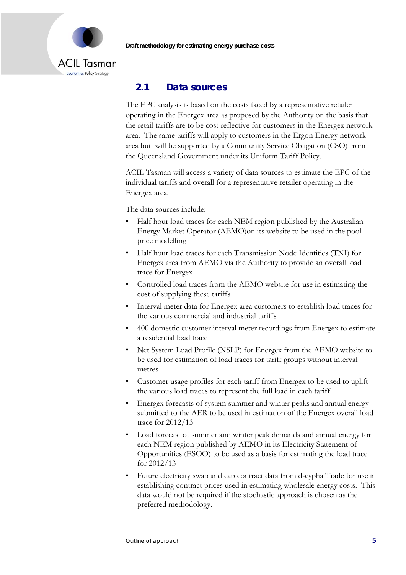

### **2.1 Data sources**

The EPC analysis is based on the costs faced by a representative retailer operating in the Energex area as proposed by the Authority on the basis that the retail tariffs are to be cost reflective for customers in the Energex network area. The same tariffs will apply to customers in the Ergon Energy network area but will be supported by a Community Service Obligation (CSO) from the Queensland Government under its Uniform Tariff Policy.

ACIL Tasman will access a variety of data sources to estimate the EPC of the individual tariffs and overall for a representative retailer operating in the Energex area.

The data sources include:

- Half hour load traces for each NEM region published by the Australian Energy Market Operator (AEMO)on its website to be used in the pool price modelling
- Half hour load traces for each Transmission Node Identities (TNI) for Energex area from AEMO via the Authority to provide an overall load trace for Energex
- Controlled load traces from the AEMO website for use in estimating the cost of supplying these tariffs
- Interval meter data for Energex area customers to establish load traces for the various commercial and industrial tariffs
- 400 domestic customer interval meter recordings from Energex to estimate a residential load trace
- Net System Load Profile (NSLP) for Energex from the AEMO website to be used for estimation of load traces for tariff groups without interval metres
- Customer usage profiles for each tariff from Energex to be used to uplift the various load traces to represent the full load in each tariff
- Energex forecasts of system summer and winter peaks and annual energy submitted to the AER to be used in estimation of the Energex overall load trace for 2012/13
- Load forecast of summer and winter peak demands and annual energy for each NEM region published by AEMO in its Electricity Statement of Opportunities (ESOO) to be used as a basis for estimating the load trace for 2012/13
- Future electricity swap and cap contract data from d-cypha Trade for use in establishing contract prices used in estimating wholesale energy costs. This data would not be required if the stochastic approach is chosen as the preferred methodology.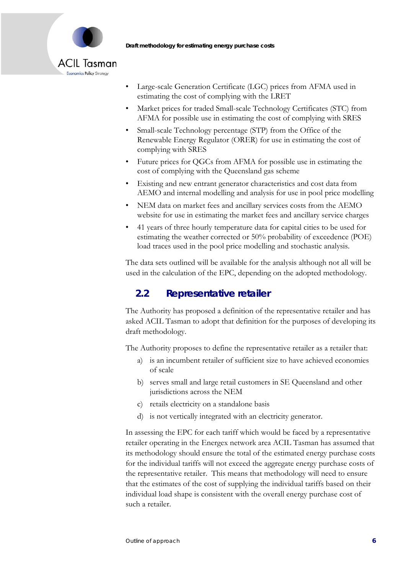

- Large-scale Generation Certificate (LGC) prices from AFMA used in estimating the cost of complying with the LRET
- Market prices for traded Small-scale Technology Certificates (STC) from AFMA for possible use in estimating the cost of complying with SRES
- Small-scale Technology percentage (STP) from the Office of the Renewable Energy Regulator (ORER) for use in estimating the cost of complying with SRES
- Future prices for QGCs from AFMA for possible use in estimating the cost of complying with the Queensland gas scheme
- Existing and new entrant generator characteristics and cost data from AEMO and internal modelling and analysis for use in pool price modelling
- NEM data on market fees and ancillary services costs from the AEMO website for use in estimating the market fees and ancillary service charges
- 41 years of three hourly temperature data for capital cities to be used for estimating the weather corrected or 50% probability of exceedence (POE) load traces used in the pool price modelling and stochastic analysis.

The data sets outlined will be available for the analysis although not all will be used in the calculation of the EPC, depending on the adopted methodology.

## **2.2 Representative retailer**

The Authority has proposed a definition of the representative retailer and has asked ACIL Tasman to adopt that definition for the purposes of developing its draft methodology.

The Authority proposes to define the representative retailer as a retailer that:

- a) is an incumbent retailer of sufficient size to have achieved economies of scale
- b) serves small and large retail customers in SE Queensland and other jurisdictions across the NEM
- c) retails electricity on a standalone basis
- d) is not vertically integrated with an electricity generator.

In assessing the EPC for each tariff which would be faced by a representative retailer operating in the Energex network area ACIL Tasman has assumed that its methodology should ensure the total of the estimated energy purchase costs for the individual tariffs will not exceed the aggregate energy purchase costs of the representative retailer. This means that methodology will need to ensure that the estimates of the cost of supplying the individual tariffs based on their individual load shape is consistent with the overall energy purchase cost of such a retailer.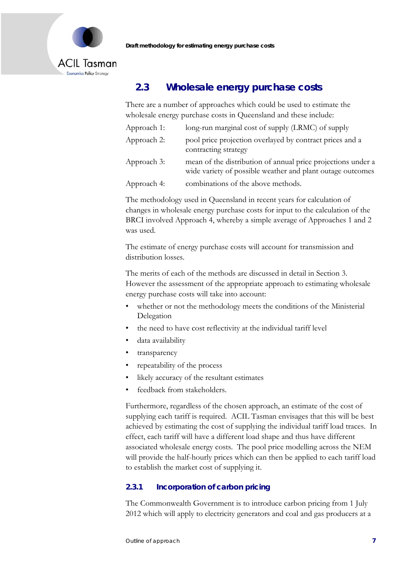

## **2.3 Wholesale energy purchase costs**

There are a number of approaches which could be used to estimate the wholesale energy purchase costs in Queensland and these include:

| Approach 1: | long-run marginal cost of supply (LRMC) of supply                                                                          |
|-------------|----------------------------------------------------------------------------------------------------------------------------|
| Approach 2: | pool price projection overlayed by contract prices and a<br>contracting strategy                                           |
| Approach 3: | mean of the distribution of annual price projections under a<br>wide variety of possible weather and plant outage outcomes |
| Approach 4: | combinations of the above methods.                                                                                         |

The methodology used in Queensland in recent years for calculation of changes in wholesale energy purchase costs for input to the calculation of the BRCI involved Approach 4, whereby a simple average of Approaches 1 and 2 was used.

The estimate of energy purchase costs will account for transmission and distribution losses.

The merits of each of the methods are discussed in detail in Section 3. However the assessment of the appropriate approach to estimating wholesale energy purchase costs will take into account:

- whether or not the methodology meets the conditions of the Ministerial Delegation
- the need to have cost reflectivity at the individual tariff level
- data availability
- transparency
- repeatability of the process
- likely accuracy of the resultant estimates
- feedback from stakeholders.

Furthermore, regardless of the chosen approach, an estimate of the cost of supplying each tariff is required. ACIL Tasman envisages that this will be best achieved by estimating the cost of supplying the individual tariff load traces. In effect, each tariff will have a different load shape and thus have different associated wholesale energy costs. The pool price modelling across the NEM will provide the half-hourly prices which can then be applied to each tariff load to establish the market cost of supplying it.

#### **2.3.1 Incorporation of carbon pricing**

The Commonwealth Government is to introduce carbon pricing from 1 July 2012 which will apply to electricity generators and coal and gas producers at a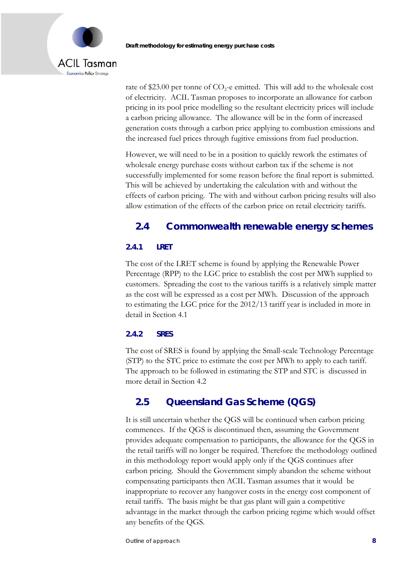

rate of \$23.00 per tonne of  $CO<sub>2</sub>$ -e emitted. This will add to the wholesale cost of electricity. ACIL Tasman proposes to incorporate an allowance for carbon pricing in its pool price modelling so the resultant electricity prices will include a carbon pricing allowance. The allowance will be in the form of increased generation costs through a carbon price applying to combustion emissions and the increased fuel prices through fugitive emissions from fuel production.

However, we will need to be in a position to quickly rework the estimates of wholesale energy purchase costs without carbon tax if the scheme is not successfully implemented for some reason before the final report is submitted. This will be achieved by undertaking the calculation with and without the effects of carbon pricing. The with and without carbon pricing results will also allow estimation of the effects of the carbon price on retail electricity tariffs.

### **2.4 Commonwealth renewable energy schemes**

#### **2.4.1 LRET**

The cost of the LRET scheme is found by applying the Renewable Power Percentage (RPP) to the LGC price to establish the cost per MWh supplied to customers. Spreading the cost to the various tariffs is a relatively simple matter as the cost will be expressed as a cost per MWh. Discussion of the approach to estimating the LGC price for the 2012/13 tariff year is included in more in detail in Section 4.1

#### **2.4.2 SRES**

The cost of SRES is found by applying the Small-scale Technology Percentage (STP) to the STC price to estimate the cost per MWh to apply to each tariff. The approach to be followed in estimating the STP and STC is discussed in more detail in Section 4.2

### **2.5 Queensland Gas Scheme (QGS)**

It is still uncertain whether the QGS will be continued when carbon pricing commences. If the QGS is discontinued then, assuming the Government provides adequate compensation to participants, the allowance for the QGS in the retail tariffs will no longer be required. Therefore the methodology outlined in this methodology report would apply only if the QGS continues after carbon pricing. Should the Government simply abandon the scheme without compensating participants then ACIL Tasman assumes that it would be inappropriate to recover any hangover costs in the energy cost component of retail tariffs. The basis might be that gas plant will gain a competitive advantage in the market through the carbon pricing regime which would offset any benefits of the QGS.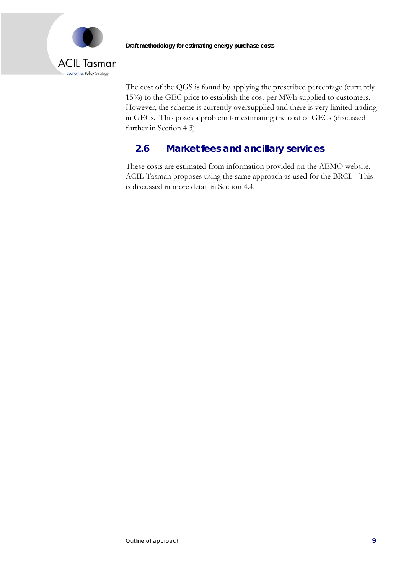

The cost of the QGS is found by applying the prescribed percentage (currently 15%) to the GEC price to establish the cost per MWh supplied to customers. However, the scheme is currently oversupplied and there is very limited trading in GECs. This poses a problem for estimating the cost of GECs (discussed further in Section 4.3).

## **2.6 Market fees and ancillary services**

These costs are estimated from information provided on the AEMO website. ACIL Tasman proposes using the same approach as used for the BRCI. This is discussed in more detail in Section 4.4.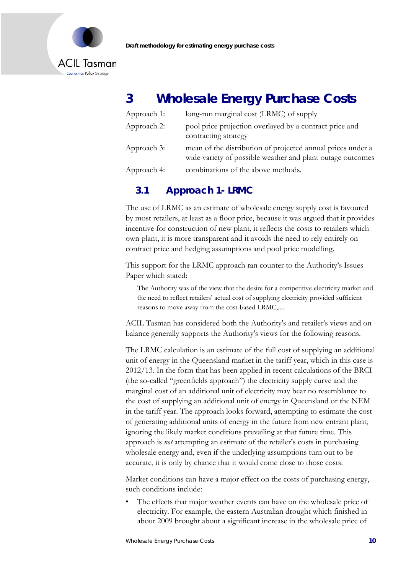



# **3 Wholesale Energy Purchase Costs**

| Approach 1: | long-run marginal cost (LRMC) of supply                                                                                   |
|-------------|---------------------------------------------------------------------------------------------------------------------------|
| Approach 2: | pool price projection overlayed by a contract price and<br>contracting strategy                                           |
| Approach 3: | mean of the distribution of projected annual prices under a<br>wide variety of possible weather and plant outage outcomes |
| Approach 4: | combinations of the above methods.                                                                                        |

## **3.1 Approach 1- LRMC**

The use of LRMC as an estimate of wholesale energy supply cost is favoured by most retailers, at least as a floor price, because it was argued that it provides incentive for construction of new plant, it reflects the costs to retailers which own plant, it is more transparent and it avoids the need to rely entirely on contract price and hedging assumptions and pool price modelling.

This support for the LRMC approach ran counter to the Authority's Issues Paper which stated:

The Authority was of the view that the desire for a competitive electricity market and the need to reflect retailers' actual cost of supplying electricity provided sufficient reasons to move away from the cost-based LRMC,....

ACIL Tasman has considered both the Authority's and retailer's views and on balance generally supports the Authority's views for the following reasons.

The LRMC calculation is an estimate of the full cost of supplying an additional unit of energy in the Queensland market in the tariff year, which in this case is 2012/13. In the form that has been applied in recent calculations of the BRCI (the so-called "greenfields approach") the electricity supply curve and the marginal cost of an additional unit of electricity may bear no resemblance to the cost of supplying an additional unit of energy in Queensland or the NEM in the tariff year. The approach looks forward, attempting to estimate the cost of generating additional units of energy in the future from new entrant plant, ignoring the likely market conditions prevailing at that future time. This approach is *not* attempting an estimate of the retailer's costs in purchasing wholesale energy and, even if the underlying assumptions turn out to be accurate, it is only by chance that it would come close to those costs.

Market conditions can have a major effect on the costs of purchasing energy, such conditions include:

The effects that major weather events can have on the wholesale price of electricity. For example, the eastern Australian drought which finished in about 2009 brought about a significant increase in the wholesale price of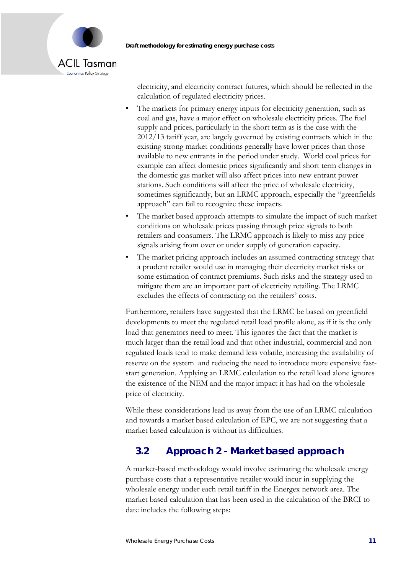

electricity, and electricity contract futures, which should be reflected in the calculation of regulated electricity prices.

- The markets for primary energy inputs for electricity generation, such as coal and gas, have a major effect on wholesale electricity prices. The fuel supply and prices, particularly in the short term as is the case with the 2012/13 tariff year, are largely governed by existing contracts which in the existing strong market conditions generally have lower prices than those available to new entrants in the period under study. World coal prices for example can affect domestic prices significantly and short term changes in the domestic gas market will also affect prices into new entrant power stations. Such conditions will affect the price of wholesale electricity, sometimes significantly, but an LRMC approach, especially the "greenfields approach" can fail to recognize these impacts.
- The market based approach attempts to simulate the impact of such market conditions on wholesale prices passing through price signals to both retailers and consumers. The LRMC approach is likely to miss any price signals arising from over or under supply of generation capacity.
- The market pricing approach includes an assumed contracting strategy that a prudent retailer would use in managing their electricity market risks or some estimation of contract premiums. Such risks and the strategy used to mitigate them are an important part of electricity retailing. The LRMC excludes the effects of contracting on the retailers' costs.

Furthermore, retailers have suggested that the LRMC be based on greenfield developments to meet the regulated retail load profile alone, as if it is the only load that generators need to meet. This ignores the fact that the market is much larger than the retail load and that other industrial, commercial and non regulated loads tend to make demand less volatile, increasing the availability of reserve on the system and reducing the need to introduce more expensive faststart generation. Applying an LRMC calculation to the retail load alone ignores the existence of the NEM and the major impact it has had on the wholesale price of electricity.

While these considerations lead us away from the use of an LRMC calculation and towards a market based calculation of EPC, we are not suggesting that a market based calculation is without its difficulties.

# **3.2 Approach 2 - Market based approach**

A market-based methodology would involve estimating the wholesale energy purchase costs that a representative retailer would incur in supplying the wholesale energy under each retail tariff in the Energex network area. The market based calculation that has been used in the calculation of the BRCI to date includes the following steps: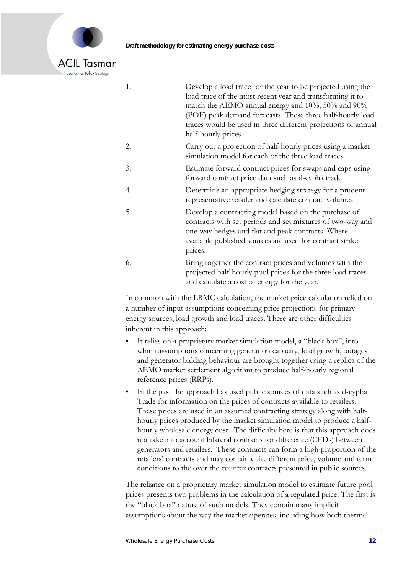

- 1. Develop a load trace for the year to be projected using the load trace of the most recent year and transforming it to match the AEMO annual energy and 10%, 50% and 90% (POE) peak demand forecasts. These three half-hourly load traces would be used in three different projections of annual half-hourly prices.
- 2. Carry out a projection of half-hourly prices using a market simulation model for each of the three load traces.
- 3. Estimate forward contract prices for swaps and caps using forward contract price data such as d-cypha trade
- 4. Determine an appropriate hedging strategy for a prudent representative retailer and calculate contract volumes
- 5. Develop a contracting model based on the purchase of contracts with set periods and set mixtures of two-way and one-way hedges and flat and peak contracts. Where available published sources are used for contract strike prices.
- 6. Bring together the contract prices and volumes with the projected half-hourly pool prices for the three load traces and calculate a cost of energy for the year.

In common with the LRMC calculation, the market price calculation relied on a number of input assumptions concerning price projections for primary energy sources, load growth and load traces. There are other difficulties inherent in this approach:

- It relies on a proprietary market simulation model, a "black box", into which assumptions concerning generation capacity, load growth, outages and generator bidding behaviour are brought together using a replica of the AEMO market settlement algorithm to produce half-hourly regional reference prices (RRPs).
- In the past the approach has used public sources of data such as d-cypha Trade for information on the prices of contracts available to retailers. These prices are used in an assumed contracting strategy along with halfhourly prices produced by the market simulation model to produce a halfhourly wholesale energy cost. The difficulty here is that this approach does not take into account bilateral contracts for difference (CFDs) between generators and retailers. These contracts can form a high proportion of the retailers' contracts and may contain quite different price, volume and term conditions to the over the counter contracts presented in public sources.

The reliance on a proprietary market simulation model to estimate future pool prices presents two problems in the calculation of a regulated price. The first is the "black box" nature of such models. They contain many implicit assumptions about the way the market operates, including how both thermal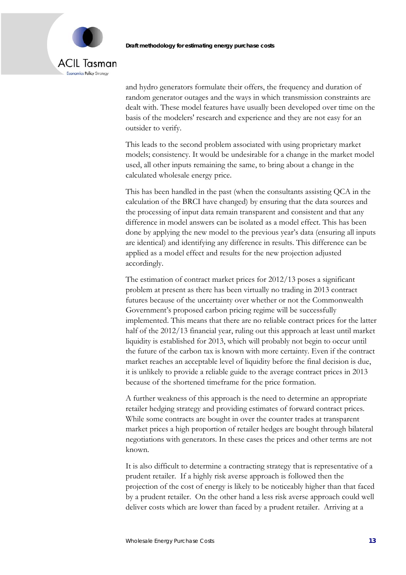

and hydro generators formulate their offers, the frequency and duration of random generator outages and the ways in which transmission constraints are dealt with. These model features have usually been developed over time on the basis of the modelers' research and experience and they are not easy for an outsider to verify.

This leads to the second problem associated with using proprietary market models; consistency. It would be undesirable for a change in the market model used, all other inputs remaining the same, to bring about a change in the calculated wholesale energy price.

This has been handled in the past (when the consultants assisting QCA in the calculation of the BRCI have changed) by ensuring that the data sources and the processing of input data remain transparent and consistent and that any difference in model answers can be isolated as a model effect. This has been done by applying the new model to the previous year's data (ensuring all inputs are identical) and identifying any difference in results. This difference can be applied as a model effect and results for the new projection adjusted accordingly.

The estimation of contract market prices for 2012/13 poses a significant problem at present as there has been virtually no trading in 2013 contract futures because of the uncertainty over whether or not the Commonwealth Government's proposed carbon pricing regime will be successfully implemented. This means that there are no reliable contract prices for the latter half of the 2012/13 financial year, ruling out this approach at least until market liquidity is established for 2013, which will probably not begin to occur until the future of the carbon tax is known with more certainty. Even if the contract market reaches an acceptable level of liquidity before the final decision is due, it is unlikely to provide a reliable guide to the average contract prices in 2013 because of the shortened timeframe for the price formation.

A further weakness of this approach is the need to determine an appropriate retailer hedging strategy and providing estimates of forward contract prices. While some contracts are bought in over the counter trades at transparent market prices a high proportion of retailer hedges are bought through bilateral negotiations with generators. In these cases the prices and other terms are not known.

It is also difficult to determine a contracting strategy that is representative of a prudent retailer. If a highly risk averse approach is followed then the projection of the cost of energy is likely to be noticeably higher than that faced by a prudent retailer. On the other hand a less risk averse approach could well deliver costs which are lower than faced by a prudent retailer. Arriving at a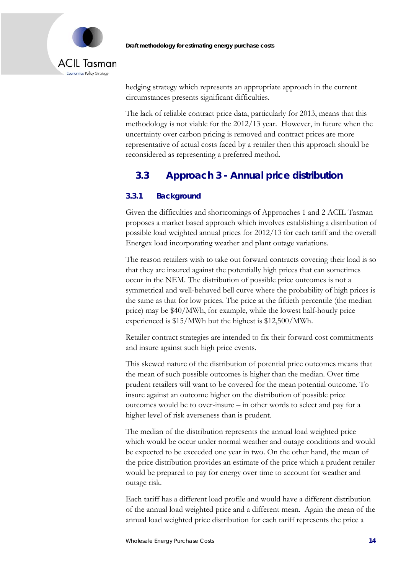

hedging strategy which represents an appropriate approach in the current circumstances presents significant difficulties.

The lack of reliable contract price data, particularly for 2013, means that this methodology is not viable for the 2012/13 year. However, in future when the uncertainty over carbon pricing is removed and contract prices are more representative of actual costs faced by a retailer then this approach should be reconsidered as representing a preferred method.

# **3.3 Approach 3 - Annual price distribution**

### **3.3.1 Background**

Given the difficulties and shortcomings of Approaches 1 and 2 ACIL Tasman proposes a market based approach which involves establishing a distribution of possible load weighted annual prices for 2012/13 for each tariff and the overall Energex load incorporating weather and plant outage variations.

The reason retailers wish to take out forward contracts covering their load is so that they are insured against the potentially high prices that can sometimes occur in the NEM. The distribution of possible price outcomes is not a symmetrical and well-behaved bell curve where the probability of high prices is the same as that for low prices. The price at the fiftieth percentile (the median price) may be \$40/MWh, for example, while the lowest half-hourly price experienced is \$15/MWh but the highest is \$12,500/MWh.

Retailer contract strategies are intended to fix their forward cost commitments and insure against such high price events.

This skewed nature of the distribution of potential price outcomes means that the mean of such possible outcomes is higher than the median. Over time prudent retailers will want to be covered for the mean potential outcome. To insure against an outcome higher on the distribution of possible price outcomes would be to over-insure – in other words to select and pay for a higher level of risk averseness than is prudent.

The median of the distribution represents the annual load weighted price which would be occur under normal weather and outage conditions and would be expected to be exceeded one year in two. On the other hand, the mean of the price distribution provides an estimate of the price which a prudent retailer would be prepared to pay for energy over time to account for weather and outage risk.

Each tariff has a different load profile and would have a different distribution of the annual load weighted price and a different mean. Again the mean of the annual load weighted price distribution for each tariff represents the price a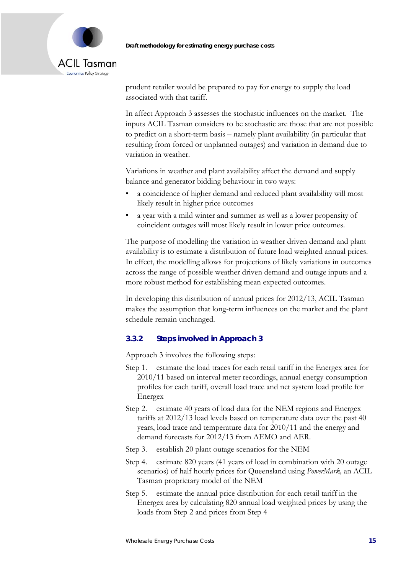



prudent retailer would be prepared to pay for energy to supply the load associated with that tariff.

In affect Approach 3 assesses the stochastic influences on the market. The inputs ACIL Tasman considers to be stochastic are those that are not possible to predict on a short-term basis – namely plant availability (in particular that resulting from forced or unplanned outages) and variation in demand due to variation in weather.

Variations in weather and plant availability affect the demand and supply balance and generator bidding behaviour in two ways:

- a coincidence of higher demand and reduced plant availability will most likely result in higher price outcomes
- a year with a mild winter and summer as well as a lower propensity of coincident outages will most likely result in lower price outcomes.

The purpose of modelling the variation in weather driven demand and plant availability is to estimate a distribution of future load weighted annual prices. In effect, the modelling allows for projections of likely variations in outcomes across the range of possible weather driven demand and outage inputs and a more robust method for establishing mean expected outcomes.

In developing this distribution of annual prices for 2012/13, ACIL Tasman makes the assumption that long-term influences on the market and the plant schedule remain unchanged.

#### **3.3.2 Steps involved in Approach 3**

Approach 3 involves the following steps:

- Step 1. estimate the load traces for each retail tariff in the Energex area for 2010/11 based on interval meter recordings, annual energy consumption profiles for each tariff, overall load trace and net system load profile for Energex
- Step 2. estimate 40 years of load data for the NEM regions and Energex tariffs at 2012/13 load levels based on temperature data over the past 40 years, load trace and temperature data for 2010/11 and the energy and demand forecasts for 2012/13 from AEMO and AER.
- Step 3. establish 20 plant outage scenarios for the NEM
- Step 4. estimate 820 years (41 years of load in combination with 20 outage scenarios) of half hourly prices for Queensland using *PowerMark,* an ACIL Tasman proprietary model of the NEM
- Step 5. estimate the annual price distribution for each retail tariff in the Energex area by calculating 820 annual load weighted prices by using the loads from Step 2 and prices from Step 4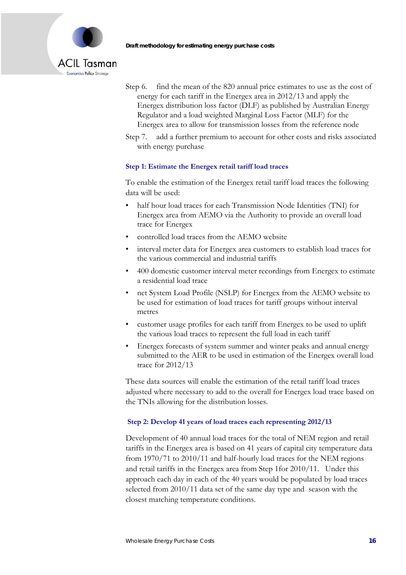

- Step 6. find the mean of the 820 annual price estimates to use as the cost of energy for each tariff in the Energex area in 2012/13 and apply the Energex distribution loss factor (DLF) as published by Australian Energy Regulator and a load weighted Marginal Loss Factor (MLF) for the Energex area to allow for transmission losses from the reference node
- Step 7. add a further premium to account for other costs and risks associated with energy purchase

#### **Step 1: Estimate the Energex retail tariff load traces**

To enable the estimation of the Energex retail tariff load traces the following data will be used:

- half hour load traces for each Transmission Node Identities (TNI) for Energex area from AEMO via the Authority to provide an overall load trace for Energex
- controlled load traces from the AEMO website
- interval meter data for Energex area customers to establish load traces for the various commercial and industrial tariffs
- 400 domestic customer interval meter recordings from Energex to estimate a residential load trace
- net System Load Profile (NSLP) for Energex from the AEMO website to be used for estimation of load traces for tariff groups without interval metres
- customer usage profiles for each tariff from Energex to be used to uplift the various load traces to represent the full load in each tariff
- Energex forecasts of system summer and winter peaks and annual energy submitted to the AER to be used in estimation of the Energex overall load trace for 2012/13

These data sources will enable the estimation of the retail tariff load traces adjusted where necessary to add to the overall for Energex load trace based on the TNIs allowing for the distribution losses.

#### **Step 2: Develop 41 years of load traces each representing 2012/13**

Development of 40 annual load traces for the total of NEM region and retail tariffs in the Energex area is based on 41 years of capital city temperature data from 1970/71 to 2010/11 and half-hourly load traces for the NEM regions and retail tariffs in the Energex area from Step 1for 2010/11. Under this approach each day in each of the 40 years would be populated by load traces selected from 2010/11 data set of the same day type and season with the closest matching temperature conditions.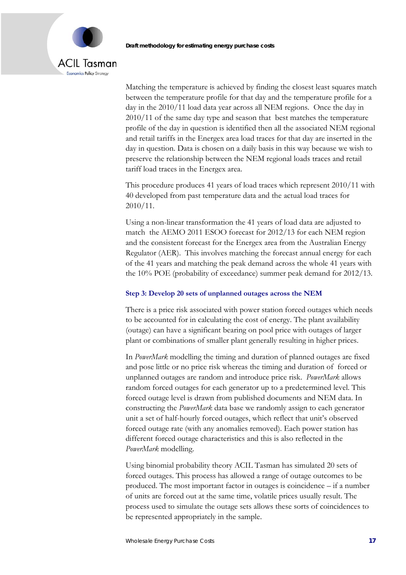# **ACIL Tasman** Economics Policy Strategy

Matching the temperature is achieved by finding the closest least squares match between the temperature profile for that day and the temperature profile for a day in the 2010/11 load data year across all NEM regions. Once the day in 2010/11 of the same day type and season that best matches the temperature profile of the day in question is identified then all the associated NEM regional and retail tariffs in the Energex area load traces for that day are inserted in the day in question. Data is chosen on a daily basis in this way because we wish to preserve the relationship between the NEM regional loads traces and retail tariff load traces in the Energex area.

This procedure produces 41 years of load traces which represent 2010/11 with 40 developed from past temperature data and the actual load traces for 2010/11.

Using a non-linear transformation the 41 years of load data are adjusted to match the AEMO 2011 ESOO forecast for 2012/13 for each NEM region and the consistent forecast for the Energex area from the Australian Energy Regulator (AER). This involves matching the forecast annual energy for each of the 41 years and matching the peak demand across the whole 41 years with the 10% POE (probability of exceedance) summer peak demand for 2012/13.

#### **Step 3: Develop 20 sets of unplanned outages across the NEM**

There is a price risk associated with power station forced outages which needs to be accounted for in calculating the cost of energy. The plant availability (outage) can have a significant bearing on pool price with outages of larger plant or combinations of smaller plant generally resulting in higher prices.

In *PowerMark* modelling the timing and duration of planned outages are fixed and pose little or no price risk whereas the timing and duration of forced or unplanned outages are random and introduce price risk. *PowerMark* allows random forced outages for each generator up to a predetermined level. This forced outage level is drawn from published documents and NEM data. In constructing the *PowerMark* data base we randomly assign to each generator unit a set of half-hourly forced outages, which reflect that unit's observed forced outage rate (with any anomalies removed). Each power station has different forced outage characteristics and this is also reflected in the *PowerMark* modelling.

Using binomial probability theory ACIL Tasman has simulated 20 sets of forced outages. This process has allowed a range of outage outcomes to be produced. The most important factor in outages is coincidence – if a number of units are forced out at the same time, volatile prices usually result. The process used to simulate the outage sets allows these sorts of coincidences to be represented appropriately in the sample.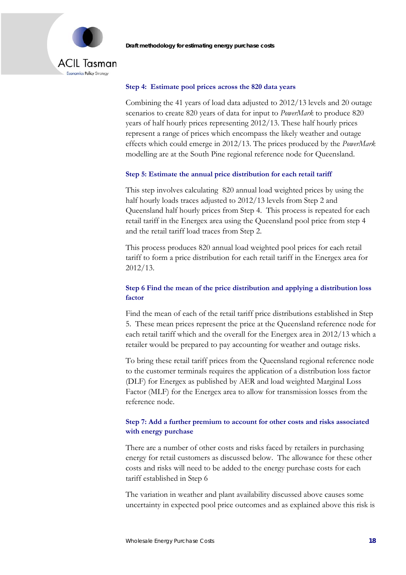



#### **Step 4: Estimate pool prices across the 820 data years**

Combining the 41 years of load data adjusted to 2012/13 levels and 20 outage scenarios to create 820 years of data for input to *PowerMark* to produce 820 years of half hourly prices representing 2012/13. These half hourly prices represent a range of prices which encompass the likely weather and outage effects which could emerge in 2012/13. The prices produced by the *PowerMark* modelling are at the South Pine regional reference node for Queensland.

#### **Step 5: Estimate the annual price distribution for each retail tariff**

This step involves calculating 820 annual load weighted prices by using the half hourly loads traces adjusted to 2012/13 levels from Step 2 and Queensland half hourly prices from Step 4. This process is repeated for each retail tariff in the Energex area using the Queensland pool price from step 4 and the retail tariff load traces from Step 2.

This process produces 820 annual load weighted pool prices for each retail tariff to form a price distribution for each retail tariff in the Energex area for 2012/13.

#### **Step 6 Find the mean of the price distribution and applying a distribution loss factor**

Find the mean of each of the retail tariff price distributions established in Step 5. These mean prices represent the price at the Queensland reference node for each retail tariff which and the overall for the Energex area in 2012/13 which a retailer would be prepared to pay accounting for weather and outage risks.

To bring these retail tariff prices from the Queensland regional reference node to the customer terminals requires the application of a distribution loss factor (DLF) for Energex as published by AER and load weighted Marginal Loss Factor (MLF) for the Energex area to allow for transmission losses from the reference node.

#### **Step 7: Add a further premium to account for other costs and risks associated with energy purchase**

There are a number of other costs and risks faced by retailers in purchasing energy for retail customers as discussed below. The allowance for these other costs and risks will need to be added to the energy purchase costs for each tariff established in Step 6

The variation in weather and plant availability discussed above causes some uncertainty in expected pool price outcomes and as explained above this risk is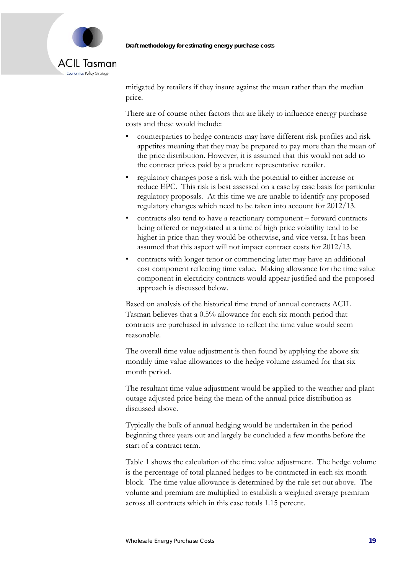

mitigated by retailers if they insure against the mean rather than the median price.

There are of course other factors that are likely to influence energy purchase costs and these would include:

- counterparties to hedge contracts may have different risk profiles and risk appetites meaning that they may be prepared to pay more than the mean of the price distribution. However, it is assumed that this would not add to the contract prices paid by a prudent representative retailer.
- regulatory changes pose a risk with the potential to either increase or reduce EPC. This risk is best assessed on a case by case basis for particular regulatory proposals. At this time we are unable to identify any proposed regulatory changes which need to be taken into account for 2012/13.
- contracts also tend to have a reactionary component forward contracts being offered or negotiated at a time of high price volatility tend to be higher in price than they would be otherwise, and vice versa. It has been assumed that this aspect will not impact contract costs for 2012/13.
- contracts with longer tenor or commencing later may have an additional cost component reflecting time value. Making allowance for the time value component in electricity contracts would appear justified and the proposed approach is discussed below.

Based on analysis of the historical time trend of annual contracts ACIL Tasman believes that a 0.5% allowance for each six month period that contracts are purchased in advance to reflect the time value would seem reasonable.

The overall time value adjustment is then found by applying the above six monthly time value allowances to the hedge volume assumed for that six month period.

The resultant time value adjustment would be applied to the weather and plant outage adjusted price being the mean of the annual price distribution as discussed above.

Typically the bulk of annual hedging would be undertaken in the period beginning three years out and largely be concluded a few months before the start of a contract term.

Table 1 shows the calculation of the time value adjustment. The hedge volume is the percentage of total planned hedges to be contracted in each six month block. The time value allowance is determined by the rule set out above. The volume and premium are multiplied to establish a weighted average premium across all contracts which in this case totals 1.15 percent.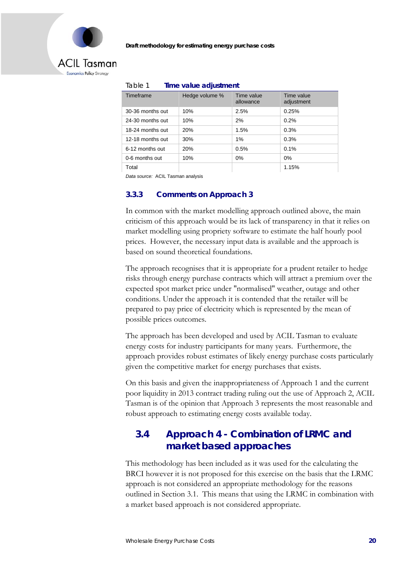

### **ACIL Tasman** Economics Policy Strategy

| Timeframe        | Hedge volume % | Time value<br>allowance | Time value<br>adjustment |  |  |  |  |
|------------------|----------------|-------------------------|--------------------------|--|--|--|--|
| 30-36 months out | 10%            | 2.5%                    | 0.25%                    |  |  |  |  |
| 24-30 months out | 10%            | 2%                      | 0.2%                     |  |  |  |  |
| 18-24 months out | 20%            | 1.5%                    | 0.3%                     |  |  |  |  |
| 12-18 months out | 30%            | 1%                      | 0.3%                     |  |  |  |  |
| 6-12 months out  | 20%            | 0.5%                    | 0.1%                     |  |  |  |  |
| 0-6 months out   | 10%            | 0%                      | 0%                       |  |  |  |  |
| Total            |                |                         | 1.15%                    |  |  |  |  |

Table 1 **Time value adjustment**

*Data source:* ACIL Tasman analysis

#### **3.3.3 Comments on Approach 3**

In common with the market modelling approach outlined above, the main criticism of this approach would be its lack of transparency in that it relies on market modelling using propriety software to estimate the half hourly pool prices. However, the necessary input data is available and the approach is based on sound theoretical foundations.

The approach recognises that it is appropriate for a prudent retailer to hedge risks through energy purchase contracts which will attract a premium over the expected spot market price under "normalised" weather, outage and other conditions. Under the approach it is contended that the retailer will be prepared to pay price of electricity which is represented by the mean of possible prices outcomes.

The approach has been developed and used by ACIL Tasman to evaluate energy costs for industry participants for many years. Furthermore, the approach provides robust estimates of likely energy purchase costs particularly given the competitive market for energy purchases that exists.

On this basis and given the inappropriateness of Approach 1 and the current poor liquidity in 2013 contract trading ruling out the use of Approach 2, ACIL Tasman is of the opinion that Approach 3 represents the most reasonable and robust approach to estimating energy costs available today.

## **3.4 Approach 4 - Combination of LRMC and market based approaches**

This methodology has been included as it was used for the calculating the BRCI however it is not proposed for this exercise on the basis that the LRMC approach is not considered an appropriate methodology for the reasons outlined in Section 3.1. This means that using the LRMC in combination with a market based approach is not considered appropriate.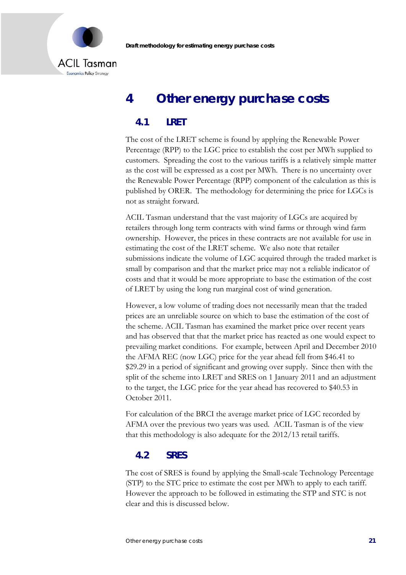

# **4 Other energy purchase costs**

### **4.1 LRET**

The cost of the LRET scheme is found by applying the Renewable Power Percentage (RPP) to the LGC price to establish the cost per MWh supplied to customers. Spreading the cost to the various tariffs is a relatively simple matter as the cost will be expressed as a cost per MWh. There is no uncertainty over the Renewable Power Percentage (RPP) component of the calculation as this is published by ORER. The methodology for determining the price for LGCs is not as straight forward.

ACIL Tasman understand that the vast majority of LGCs are acquired by retailers through long term contracts with wind farms or through wind farm ownership. However, the prices in these contracts are not available for use in estimating the cost of the LRET scheme. We also note that retailer submissions indicate the volume of LGC acquired through the traded market is small by comparison and that the market price may not a reliable indicator of costs and that it would be more appropriate to base the estimation of the cost of LRET by using the long run marginal cost of wind generation.

However, a low volume of trading does not necessarily mean that the traded prices are an unreliable source on which to base the estimation of the cost of the scheme. ACIL Tasman has examined the market price over recent years and has observed that that the market price has reacted as one would expect to prevailing market conditions. For example, between April and December 2010 the AFMA REC (now LGC) price for the year ahead fell from \$46.41 to \$29.29 in a period of significant and growing over supply. Since then with the split of the scheme into LRET and SRES on 1 January 2011 and an adjustment to the target, the LGC price for the year ahead has recovered to \$40.53 in October 2011.

For calculation of the BRCI the average market price of LGC recorded by AFMA over the previous two years was used. ACIL Tasman is of the view that this methodology is also adequate for the 2012/13 retail tariffs.

### **4.2 SRES**

The cost of SRES is found by applying the Small-scale Technology Percentage (STP) to the STC price to estimate the cost per MWh to apply to each tariff. However the approach to be followed in estimating the STP and STC is not clear and this is discussed below.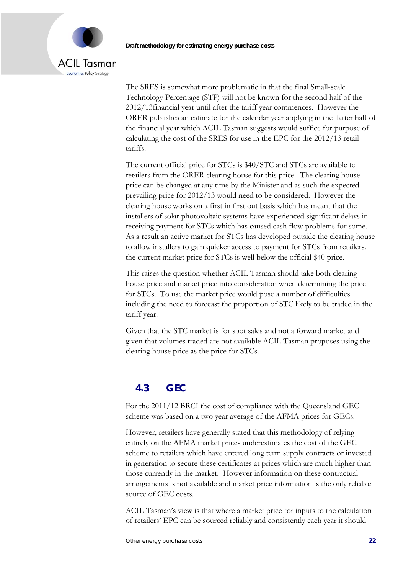# **ACIL Tasman** Economics Policy Strategy

The SRES is somewhat more problematic in that the final Small-scale Technology Percentage (STP) will not be known for the second half of the 2012/13financial year until after the tariff year commences. However the ORER publishes an estimate for the calendar year applying in the latter half of the financial year which ACIL Tasman suggests would suffice for purpose of calculating the cost of the SRES for use in the EPC for the 2012/13 retail tariffs.

The current official price for STCs is \$40/STC and STCs are available to retailers from the ORER clearing house for this price. The clearing house price can be changed at any time by the Minister and as such the expected prevailing price for 2012/13 would need to be considered. However the clearing house works on a first in first out basis which has meant that the installers of solar photovoltaic systems have experienced significant delays in receiving payment for STCs which has caused cash flow problems for some. As a result an active market for STCs has developed outside the clearing house to allow installers to gain quicker access to payment for STCs from retailers. the current market price for STCs is well below the official \$40 price.

This raises the question whether ACIL Tasman should take both clearing house price and market price into consideration when determining the price for STCs. To use the market price would pose a number of difficulties including the need to forecast the proportion of STC likely to be traded in the tariff year.

Given that the STC market is for spot sales and not a forward market and given that volumes traded are not available ACIL Tasman proposes using the clearing house price as the price for STCs.

## **4.3 GEC**

For the 2011/12 BRCI the cost of compliance with the Queensland GEC scheme was based on a two year average of the AFMA prices for GECs.

However, retailers have generally stated that this methodology of relying entirely on the AFMA market prices underestimates the cost of the GEC scheme to retailers which have entered long term supply contracts or invested in generation to secure these certificates at prices which are much higher than those currently in the market. However information on these contractual arrangements is not available and market price information is the only reliable source of GEC costs.

ACIL Tasman's view is that where a market price for inputs to the calculation of retailers' EPC can be sourced reliably and consistently each year it should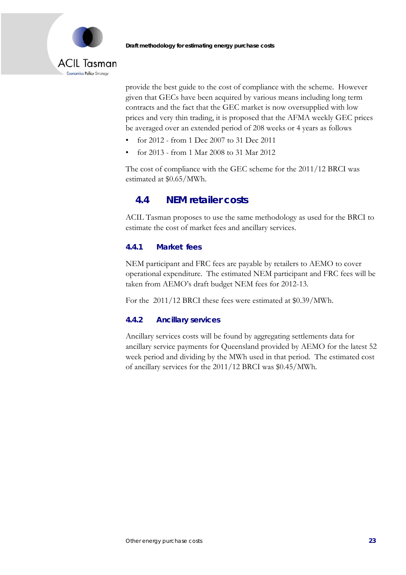



provide the best guide to the cost of compliance with the scheme. However given that GECs have been acquired by various means including long term contracts and the fact that the GEC market is now oversupplied with low prices and very thin trading, it is proposed that the AFMA weekly GEC prices be averaged over an extended period of 208 weeks or 4 years as follows

- for 2012 from 1 Dec 2007 to 31 Dec 2011
- for 2013 from 1 Mar 2008 to 31 Mar 2012

The cost of compliance with the GEC scheme for the 2011/12 BRCI was estimated at \$0.65/MWh.

### **4.4 NEM retailer costs**

ACIL Tasman proposes to use the same methodology as used for the BRCI to estimate the cost of market fees and ancillary services.

#### **4.4.1 Market fees**

NEM participant and FRC fees are payable by retailers to AEMO to cover operational expenditure. The estimated NEM participant and FRC fees will be taken from AEMO's draft budget NEM fees for 2012-13.

For the 2011/12 BRCI these fees were estimated at \$0.39/MWh.

#### **4.4.2 Ancillary services**

Ancillary services costs will be found by aggregating settlements data for ancillary service payments for Queensland provided by AEMO for the latest 52 week period and dividing by the MWh used in that period. The estimated cost of ancillary services for the 2011/12 BRCI was \$0.45/MWh.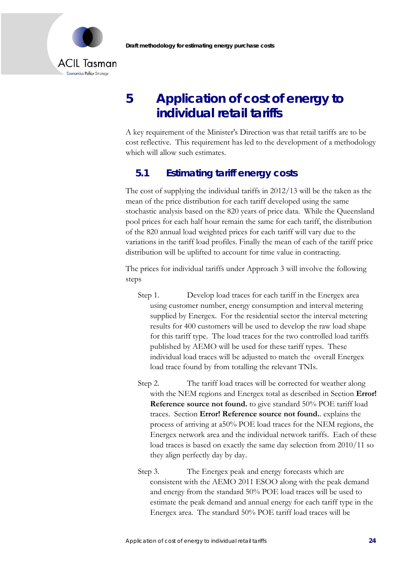

# **5 Application of cost of energy to individual retail tariffs**

A key requirement of the Minister's Direction was that retail tariffs are to be cost reflective. This requirement has led to the development of a methodology which will allow such estimates.

## **5.1 Estimating tariff energy costs**

The cost of supplying the individual tariffs in 2012/13 will be the taken as the mean of the price distribution for each tariff developed using the same stochastic analysis based on the 820 years of price data. While the Queensland pool prices for each half hour remain the same for each tariff, the distribution of the 820 annual load weighted prices for each tariff will vary due to the variations in the tariff load profiles. Finally the mean of each of the tariff price distribution will be uplifted to account for time value in contracting.

The prices for individual tariffs under Approach 3 will involve the following steps

- Step 1. Develop load traces for each tariff in the Energex area using customer number, energy consumption and interval metering supplied by Energex. For the residential sector the interval metering results for 400 customers will be used to develop the raw load shape for this tariff type. The load traces for the two controlled load tariffs published by AEMO will be used for these tariff types. These individual load traces will be adjusted to match the overall Energex load trace found by from totalling the relevant TNIs.
- Step 2. The tariff load traces will be corrected for weather along with the NEM regions and Energex total as described in Section **Error! Reference source not found.** to give standard 50% POE tariff load traces. Section **Error! Reference source not found.**. explains the process of arriving at a50% POE load traces for the NEM regions, the Energex network area and the individual network tariffs. Each of these load traces is based on exactly the same day selection from 2010/11 so they align perfectly day by day.
- Step 3. The Energex peak and energy forecasts which are consistent with the AEMO 2011 ESOO along with the peak demand and energy from the standard 50% POE load traces will be used to estimate the peak demand and annual energy for each tariff type in the Energex area. The standard 50% POE tariff load traces will be